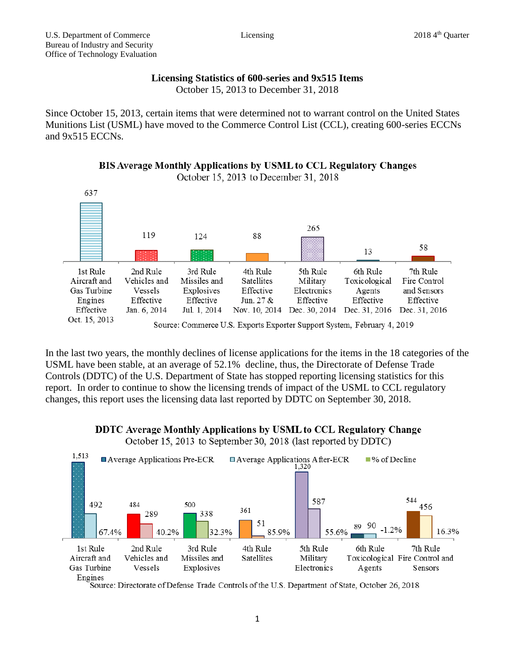## **Licensing Statistics of 600-series and 9x515 Items**

October 15, 2013 to December 31, 2018

Since October 15, 2013, certain items that were determined not to warrant control on the United States Munitions List (USML) have moved to the Commerce Control List (CCL), creating 600-series ECCNs and 9x515 ECCNs.





In the last two years, the monthly declines of license applications for the items in the 18 categories of the USML have been stable, at an average of 52.1% decline, thus, the Directorate of Defense Trade Controls (DDTC) of the U.S. Department of State has stopped reporting licensing statistics for this report. In order to continue to show the licensing trends of impact of the USML to CCL regulatory changes, this report uses the licensing data last reported by DDTC on September 30, 2018.

DDTC Average Monthly Applications by USML to CCL Regulatory Change

October 15, 2013 to September 30, 2018 (last reported by DDTC)



Source: Directorate of Defense Trade Controls of the U.S. Department of State, October 26, 2018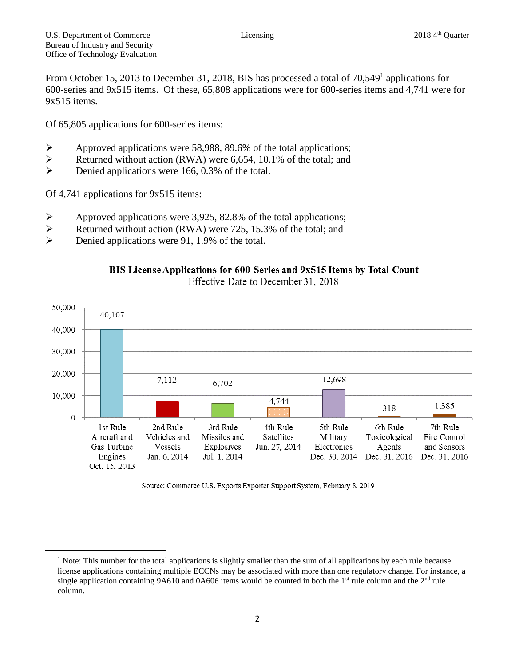From October 15, 2013 to December 31, 2018, BIS has processed a total of 70,549<sup>1</sup> applications for 600-series and 9x515 items. Of these, 65,808 applications were for 600-series items and 4,741 were for 9x515 items.

Of 65,805 applications for 600-series items:

- $\triangleright$  Approved applications were 58,988, 89.6% of the total applications;
- $\triangleright$  Returned without action (RWA) were 6,654, 10.1% of the total; and
- $\triangleright$  Denied applications were 166, 0.3% of the total.

Of 4,741 applications for 9x515 items:

l

- $\triangleright$  Approved applications were 3,925, 82.8% of the total applications;
- $\triangleright$  Returned without action (RWA) were 725, 15.3% of the total; and
- $\triangleright$  Denied applications were 91, 1.9% of the total.





Source: Commerce U.S. Exports Exporter Support System, February 8, 2019

<sup>&</sup>lt;sup>1</sup> Note: This number for the total applications is slightly smaller than the sum of all applications by each rule because license applications containing multiple ECCNs may be associated with more than one regulatory change. For instance, a single application containing 9A610 and 0A606 items would be counted in both the  $1<sup>st</sup>$  rule column and the  $2<sup>nd</sup>$  rule column.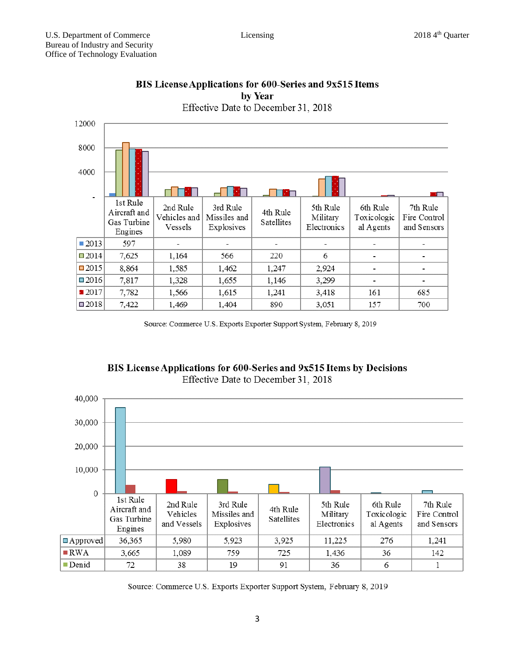

## BIS License Applications for 600-Series and 9x515 Items by Year

Source: Commerce U.S. Exports Exporter Support System, February 8, 2019





Source: Commerce U.S. Exports Exporter Support System, February 8, 2019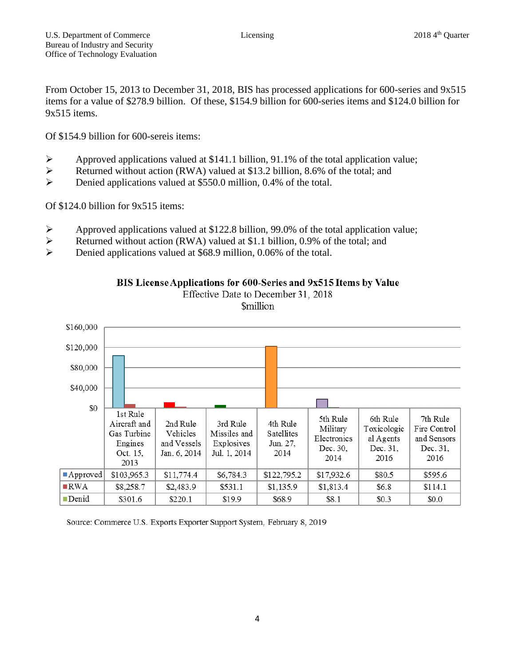From October 15, 2013 to December 31, 2018, BIS has processed applications for 600-series and 9x515 items for a value of \$278.9 billion. Of these, \$154.9 billion for 600-series items and \$124.0 billion for 9x515 items.

Of \$154.9 billion for 600-sereis items:

- Approved applications valued at \$141.1 billion, 91.1% of the total application value;
- Executively Returned without action (RWA) valued at \$13.2 billion, 8.6% of the total; and
- Denied applications valued at \$550.0 million, 0.4% of the total.

Of \$124.0 billion for 9x515 items:

- $\triangleright$  Approved applications valued at \$122.8 billion, 99.0% of the total application value;
- $\triangleright$  Returned without action (RWA) valued at \$1.1 billion, 0.9% of the total; and
- Denied applications valued at \$68.9 million, 0.06% of the total.



BIS License Applications for 600-Series and 9x515 Items by Value Effective Date to December 31, 2018 *<u>Smillion</u>* 

Source: Commerce U.S. Exports Exporter Support System, February 8, 2019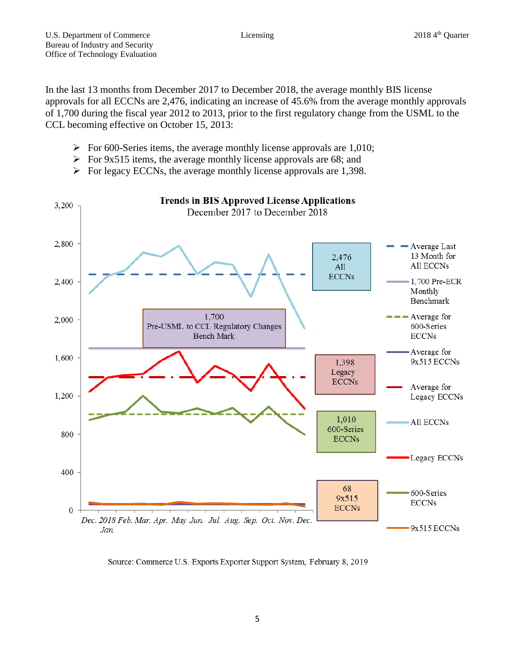In the last 13 months from December 2017 to December 2018, the average monthly BIS license approvals for all ECCNs are 2,476, indicating an increase of 45.6% from the average monthly approvals of 1,700 during the fiscal year 2012 to 2013, prior to the first regulatory change from the USML to the CCL becoming effective on October 15, 2013:

- $\triangleright$  For 600-Series items, the average monthly license approvals are 1,010;
- $\triangleright$  For 9x515 items, the average monthly license approvals are 68; and
- $\triangleright$  For legacy ECCNs, the average monthly license approvals are 1,398.



Source: Commerce U.S. Exports Exporter Support System, February 8, 2019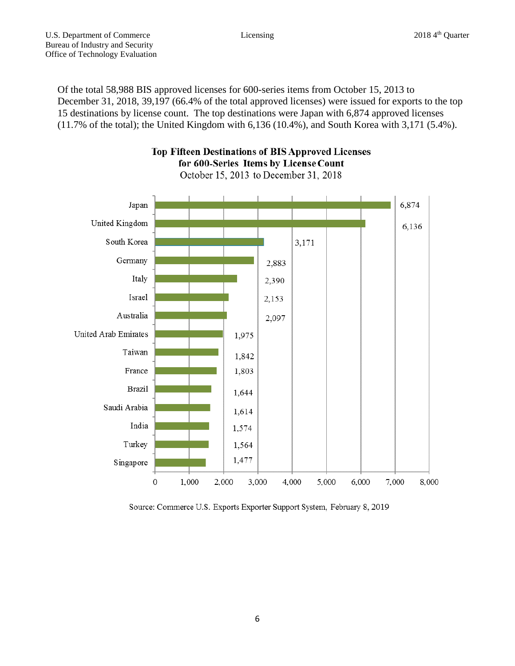Of the total 58,988 BIS approved licenses for 600-series items from October 15, 2013 to December 31, 2018, 39,197 (66.4% of the total approved licenses) were issued for exports to the top 15 destinations by license count. The top destinations were Japan with 6,874 approved licenses (11.7% of the total); the United Kingdom with 6,136 (10.4%), and South Korea with 3,171 (5.4%).



**Top Fifteen Destinations of BIS Approved Licenses** for 600-Series Items by License Count

October 15, 2013 to December 31, 2018

Source: Commerce U.S. Exports Exporter Support System, February 8, 2019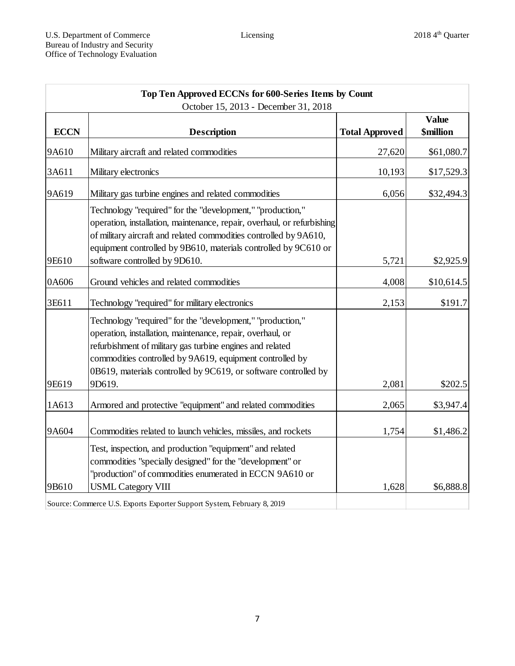| Top Ten Approved ECCNs for 600-Series Items by Count<br>October 15, 2013 - December 31, 2018 |                                                                                                                                                                                                                                                                                                                      |        |            |
|----------------------------------------------------------------------------------------------|----------------------------------------------------------------------------------------------------------------------------------------------------------------------------------------------------------------------------------------------------------------------------------------------------------------------|--------|------------|
|                                                                                              |                                                                                                                                                                                                                                                                                                                      |        |            |
| 9A610                                                                                        | Military aircraft and related commodities                                                                                                                                                                                                                                                                            | 27,620 | \$61,080.7 |
| 3A611                                                                                        | Military electronics                                                                                                                                                                                                                                                                                                 | 10,193 | \$17,529.3 |
| 9A619                                                                                        | Military gas turbine engines and related commodities                                                                                                                                                                                                                                                                 | 6,056  | \$32,494.3 |
| 9E610                                                                                        | Technology "required" for the "development," "production,"<br>operation, installation, maintenance, repair, overhaul, or refurbishing<br>of military aircraft and related commodities controlled by 9A610,<br>equipment controlled by 9B610, materials controlled by 9C610 or<br>software controlled by 9D610.       | 5,721  | \$2,925.9  |
|                                                                                              |                                                                                                                                                                                                                                                                                                                      |        |            |
| 0A606                                                                                        | Ground vehicles and related commodities                                                                                                                                                                                                                                                                              | 4,008  | \$10,614.5 |
| 3E611                                                                                        | Technology "required" for military electronics                                                                                                                                                                                                                                                                       | 2,153  | \$191.7    |
|                                                                                              | Technology "required" for the "development," "production,"<br>operation, installation, maintenance, repair, overhaul, or<br>refurbishment of military gas turbine engines and related<br>commodities controlled by 9A619, equipment controlled by<br>0B619, materials controlled by 9C619, or software controlled by |        |            |
| 9E619                                                                                        | 9D619.                                                                                                                                                                                                                                                                                                               | 2,081  | \$202.5    |
| 1A613                                                                                        | Armored and protective "equipment" and related commodities                                                                                                                                                                                                                                                           | 2,065  | \$3,947.4  |
| 9A604                                                                                        | Commodities related to launch vehicles, missiles, and rockets                                                                                                                                                                                                                                                        | 1,754  | \$1,486.2  |
| 9B610                                                                                        | Test, inspection, and production "equipment" and related<br>commodities "specially designed" for the "development" or<br>'production" of commodities enumerated in ECCN 9A610 or<br><b>USML Category VIII</b>                                                                                                        | 1,628  | \$6,888.8  |
|                                                                                              | Source: Commerce U.S. Exports Exporter Support System, February 8, 2019                                                                                                                                                                                                                                              |        |            |